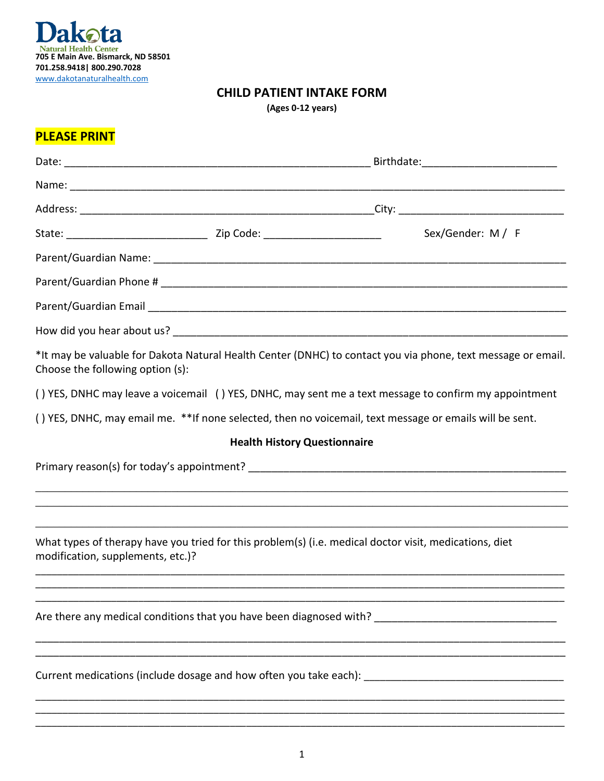

## **CHILD PATIENT INTAKE FORM**

| (Ages 0-12 years) |  |  |  |
|-------------------|--|--|--|
|-------------------|--|--|--|

## **PLEASE PRINT**

|                                   |                                                                                                         | Sex/Gender: M / F                                                                                            |  |  |  |
|-----------------------------------|---------------------------------------------------------------------------------------------------------|--------------------------------------------------------------------------------------------------------------|--|--|--|
|                                   |                                                                                                         |                                                                                                              |  |  |  |
|                                   |                                                                                                         |                                                                                                              |  |  |  |
|                                   |                                                                                                         |                                                                                                              |  |  |  |
|                                   |                                                                                                         |                                                                                                              |  |  |  |
| Choose the following option (s):  |                                                                                                         | *It may be valuable for Dakota Natural Health Center (DNHC) to contact you via phone, text message or email. |  |  |  |
|                                   |                                                                                                         | () YES, DNHC may leave a voicemail () YES, DNHC, may sent me a text message to confirm my appointment        |  |  |  |
|                                   | () YES, DNHC, may email me. **If none selected, then no voicemail, text message or emails will be sent. |                                                                                                              |  |  |  |
|                                   | <b>Health History Questionnaire</b>                                                                     |                                                                                                              |  |  |  |
|                                   |                                                                                                         |                                                                                                              |  |  |  |
|                                   |                                                                                                         |                                                                                                              |  |  |  |
|                                   |                                                                                                         |                                                                                                              |  |  |  |
| modification, supplements, etc.)? | What types of therapy have you tried for this problem(s) (i.e. medical doctor visit, medications, diet  |                                                                                                              |  |  |  |
|                                   |                                                                                                         |                                                                                                              |  |  |  |
|                                   |                                                                                                         | Current medications (include dosage and how often you take each): __________________________________         |  |  |  |
|                                   |                                                                                                         |                                                                                                              |  |  |  |

\_\_\_\_\_\_\_\_\_\_\_\_\_\_\_\_\_\_\_\_\_\_\_\_\_\_\_\_\_\_\_\_\_\_\_\_\_\_\_\_\_\_\_\_\_\_\_\_\_\_\_\_\_\_\_\_\_\_\_\_\_\_\_\_\_\_\_\_\_\_\_\_\_\_\_\_\_\_\_\_\_\_\_\_\_\_\_\_\_\_\_\_\_\_\_\_\_\_